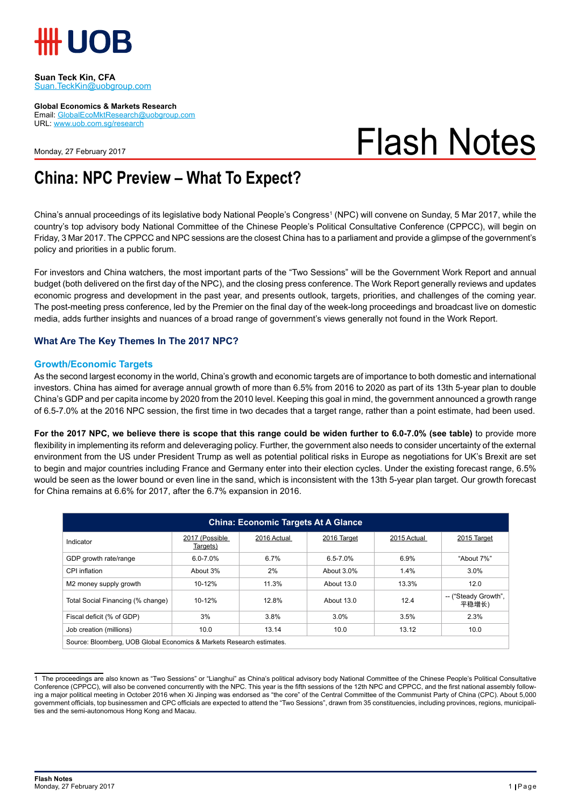

#### **Suan Teck Kin, CFA** Suan.TeckKin@uobgroup.com

**Global Economics & Markets Research**

Email: GlobalEcoMktResearch@uobgroup.com URL: www.uob.com.sg/research

Monday, 27 February 2017

# Flash Notes

## **China: NPC Preview – What To Expect?**

China's annual proceedings of its legislative body National People's Congress<sup>1</sup> (NPC) will convene on Sunday, 5 Mar 2017, while the country's top advisory body National Committee of the Chinese People's Political Consultative Conference (CPPCC), will begin on Friday, 3 Mar 2017. The CPPCC and NPC sessions are the closest China has to a parliament and provide a glimpse of the government's policy and priorities in a public forum.

For investors and China watchers, the most important parts of the "Two Sessions" will be the Government Work Report and annual budget (both delivered on the first day of the NPC), and the closing press conference. The Work Report generally reviews and updates economic progress and development in the past year, and presents outlook, targets, priorities, and challenges of the coming year. The post-meeting press conference, led by the Premier on the final day of the week-long proceedings and broadcast live on domestic media, adds further insights and nuances of a broad range of government's views generally not found in the Work Report.

### **What Are The Key Themes In The 2017 NPC?**

#### **Growth/Economic Targets**

As the second largest economy in the world, China's growth and economic targets are of importance to both domestic and international investors. China has aimed for average annual growth of more than 6.5% from 2016 to 2020 as part of its 13th 5-year plan to double China's GDP and per capita income by 2020 from the 2010 level. Keeping this goal in mind, the government announced a growth range of 6.5-7.0% at the 2016 NPC session, the first time in two decades that a target range, rather than a point estimate, had been used.

**For the 2017 NPC, we believe there is scope that this range could be widen further to 6.0-7.0% (see table)** to provide more flexibility in implementing its reform and deleveraging policy. Further, the government also needs to consider uncertainty of the external environment from the US under President Trump as well as potential political risks in Europe as negotiations for UK's Brexit are set to begin and major countries including France and Germany enter into their election cycles. Under the existing forecast range, 6.5% would be seen as the lower bound or even line in the sand, which is inconsistent with the 13th 5-year plan target. Our growth forecast for China remains at 6.6% for 2017, after the 6.7% expansion in 2016.

| <b>China: Economic Targets At A Glance</b>                            |                            |             |              |             |                               |
|-----------------------------------------------------------------------|----------------------------|-------------|--------------|-------------|-------------------------------|
| Indicator                                                             | 2017 (Possible<br>Targets) | 2016 Actual | 2016 Target  | 2015 Actual | 2015 Target                   |
| GDP growth rate/range                                                 | $6.0 - 7.0\%$              | 6.7%        | $6.5 - 7.0%$ | 6.9%        | "About 7%"                    |
| CPI inflation                                                         | About 3%                   | 2%          | About 3.0%   | 1.4%        | 3.0%                          |
| M2 money supply growth                                                | $10 - 12%$                 | 11.3%       | About 13.0   | 13.3%       | 12.0                          |
| Total Social Financing (% change)                                     | 10-12%                     | 12.8%       | About 13.0   | 12.4        | -- ("Steady Growth",<br>平稳增长) |
| Fiscal deficit (% of GDP)                                             | 3%                         | 3.8%        | 3.0%         | 3.5%        | 2.3%                          |
| Job creation (millions)                                               | 10.0                       | 13.14       | 10.0         | 13.12       | 10.0                          |
| Source: Bloomberg, UOB Global Economics & Markets Research estimates. |                            |             |              |             |                               |

<sup>1</sup> The proceedings are also known as "Two Sessions" or "Lianghui" as China's political advisory body National Committee of the Chinese People's Political Consultative Conference (CPPCC), will also be convened concurrently with the NPC. This year is the fifth sessions of the 12th NPC and CPPCC, and the first national assembly following a major political meeting in October 2016 when Xi Jinping was endorsed as "the core" of the Central Committee of the Communist Party of China (CPC). About 5,000 government officials, top businessmen and CPC officials are expected to attend the "Two Sessions", drawn from 35 constituencies, including provinces, regions, municipalities and the semi-autonomous Hong Kong and Macau.